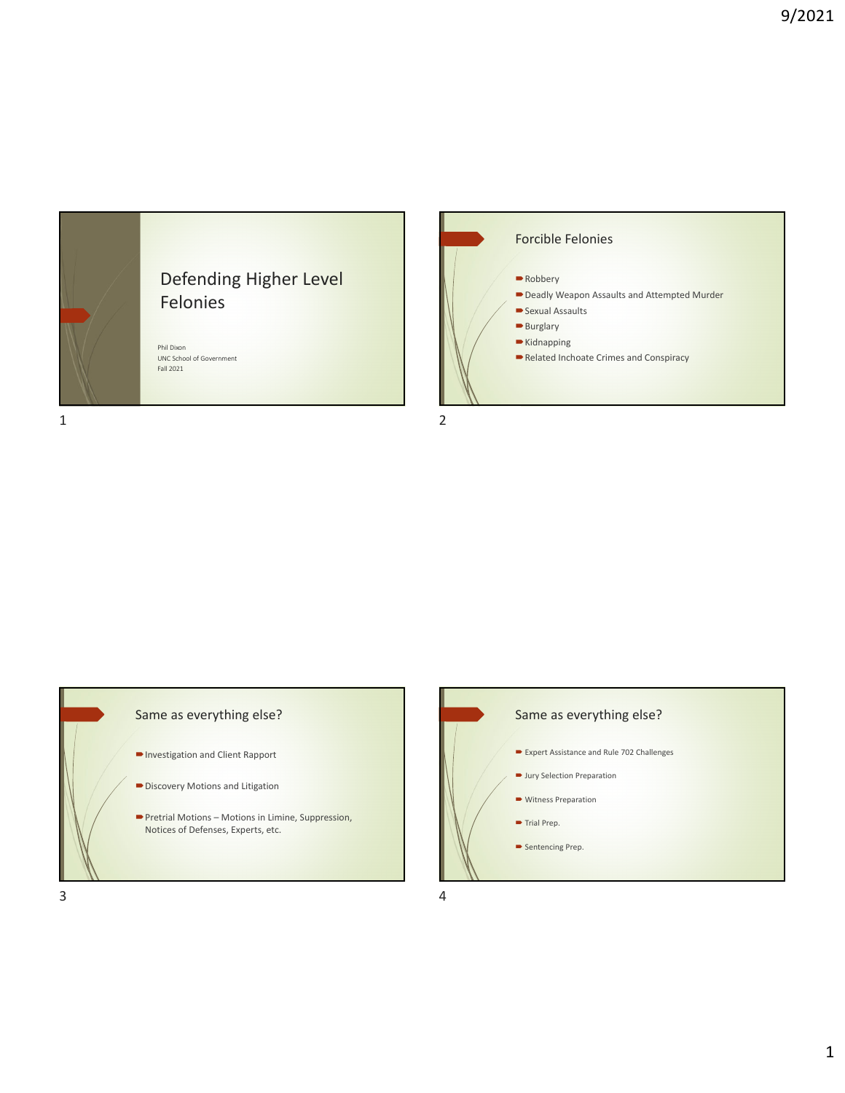

## Defending Higher Level Felonies

Phil Dixon UNC School of Government Fall 2021









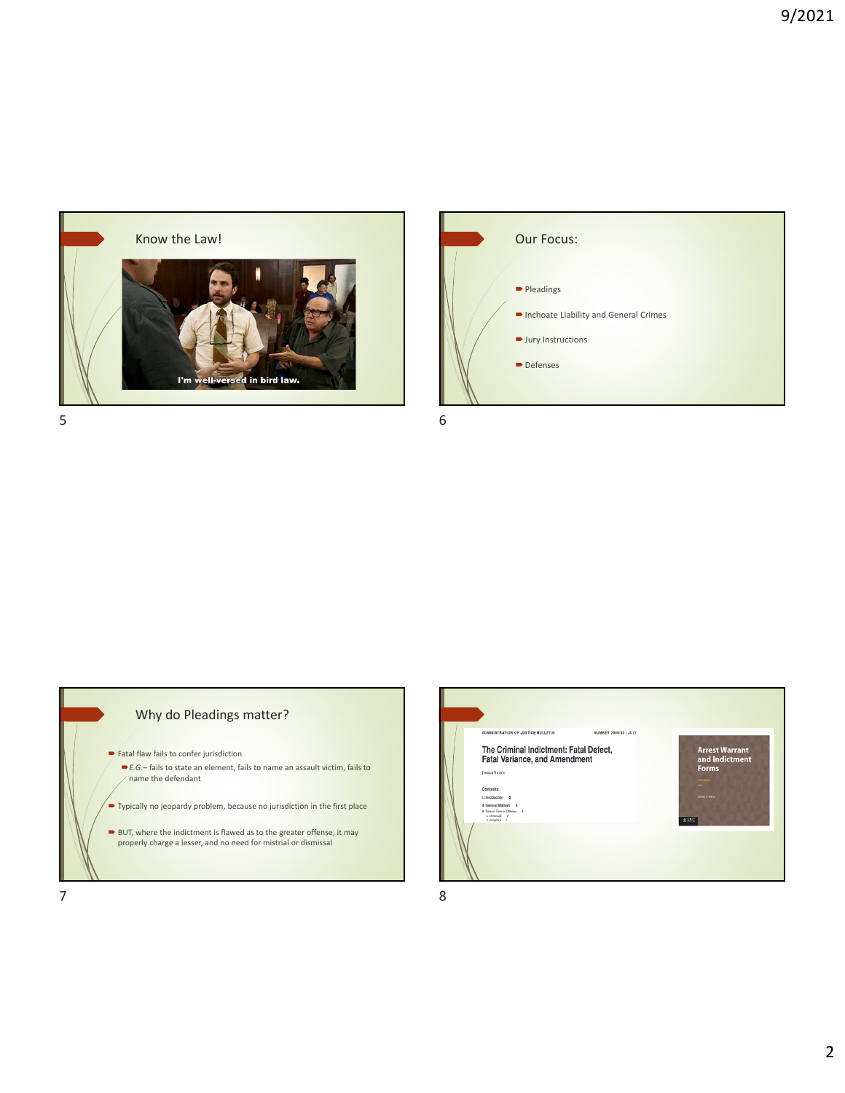





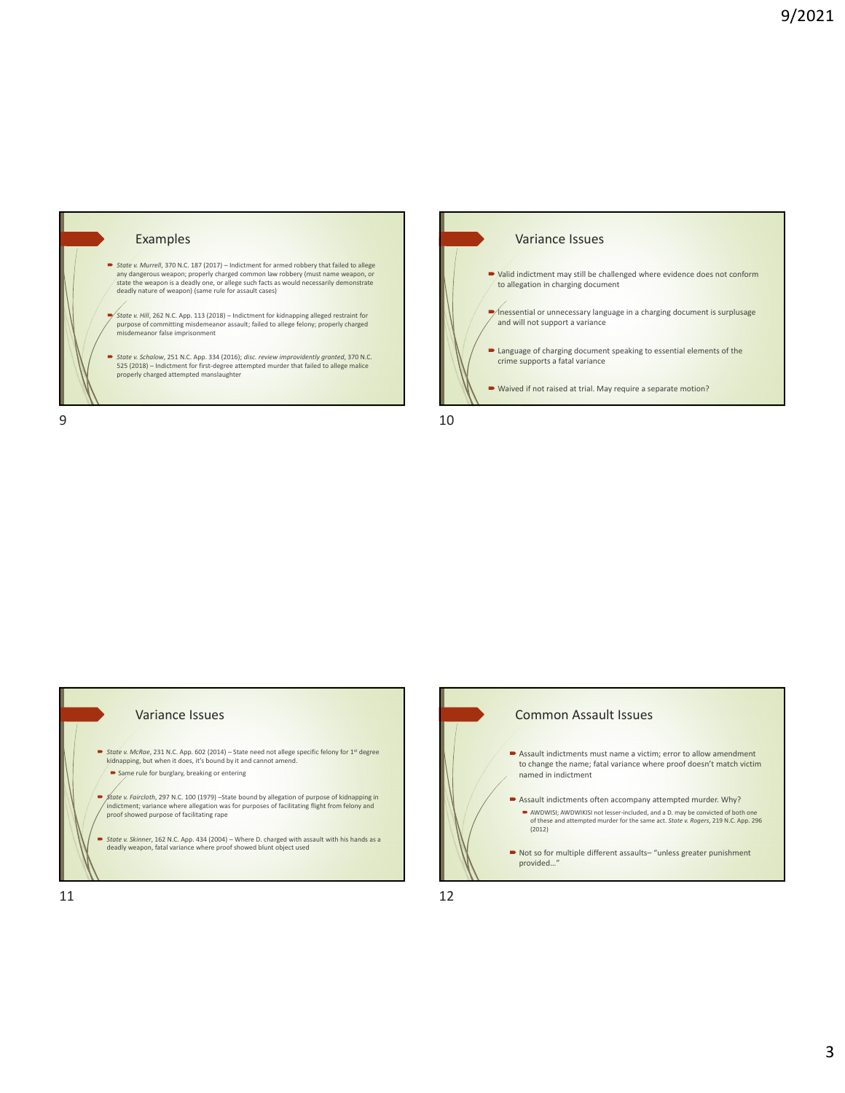







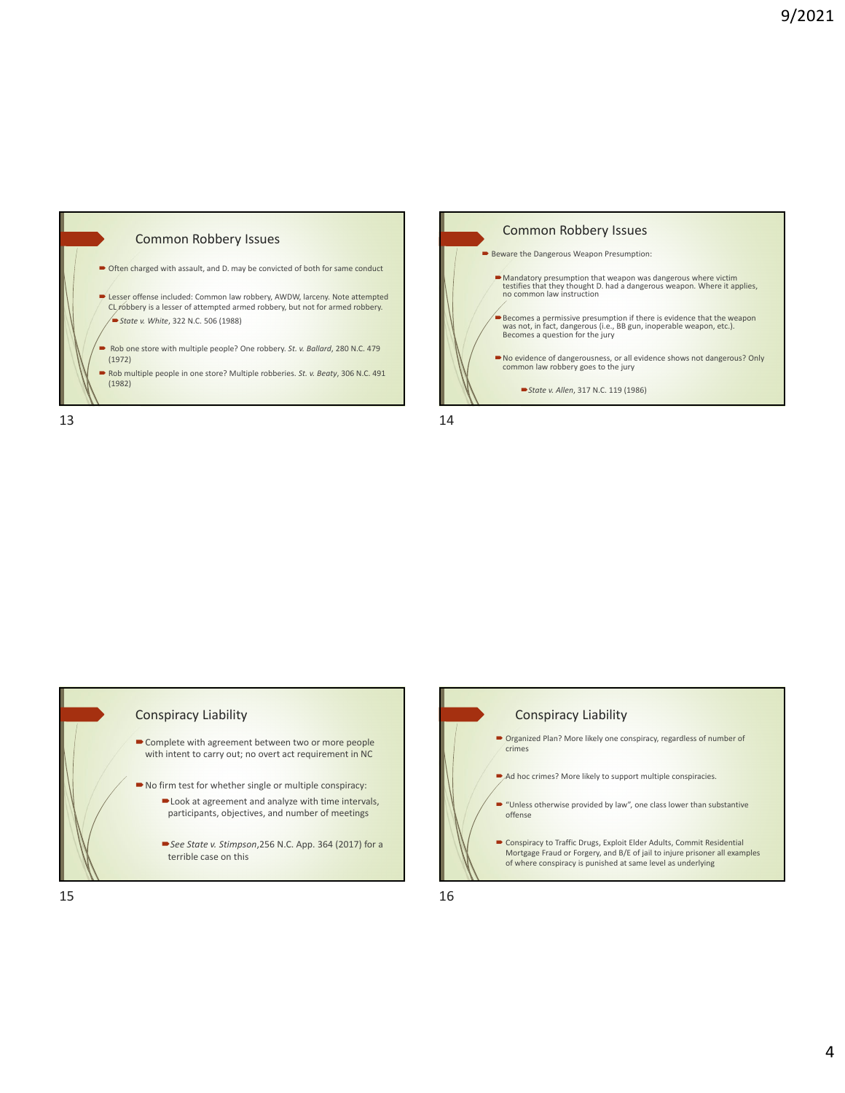





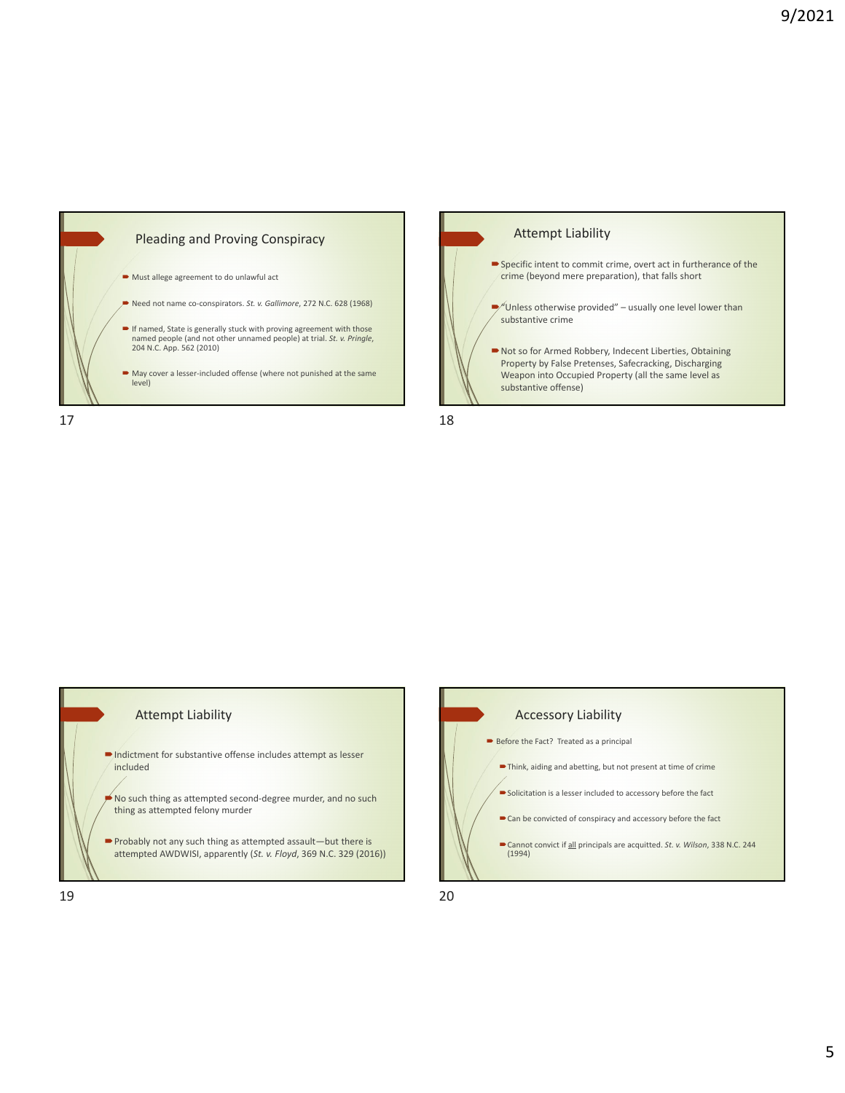





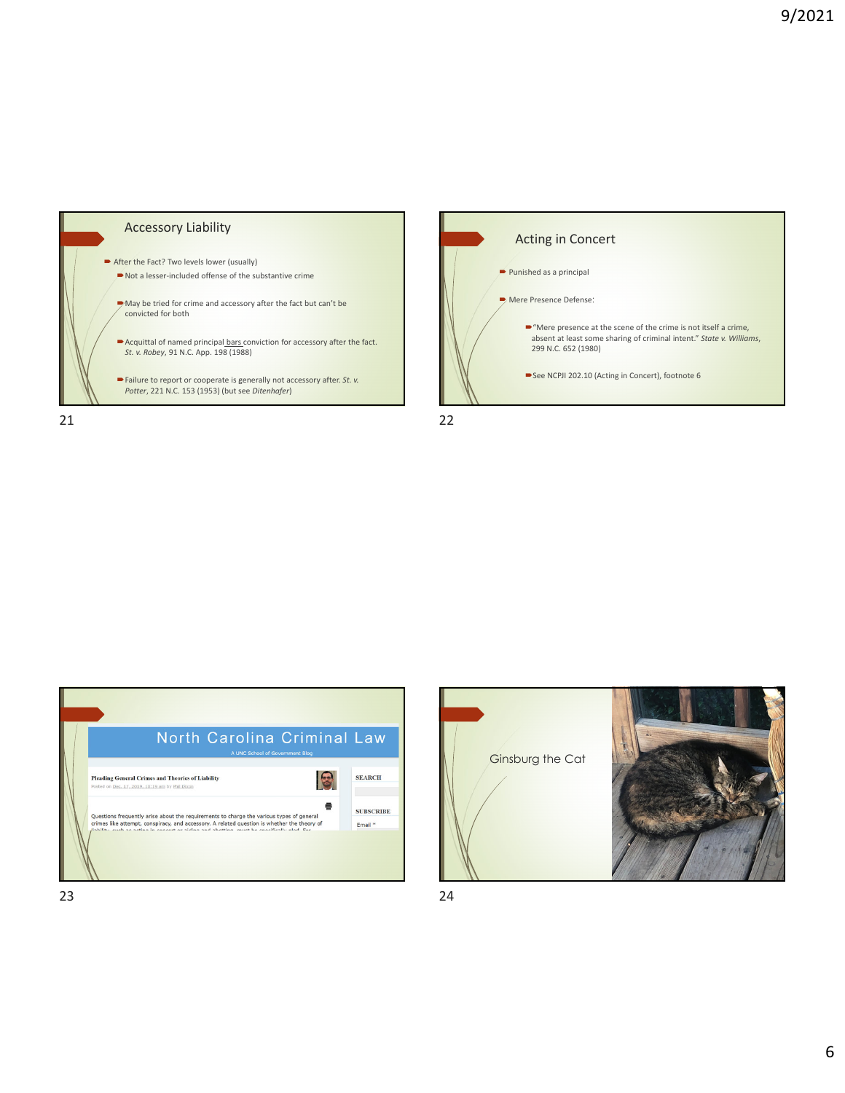





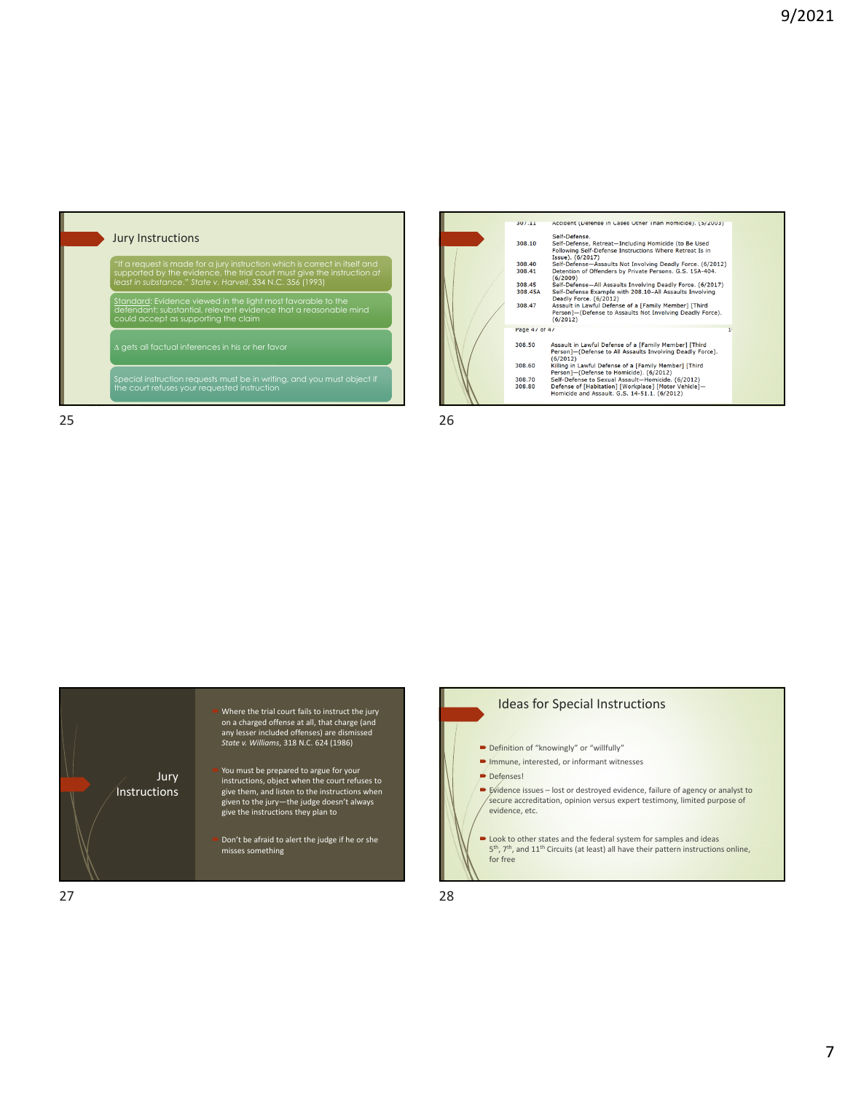





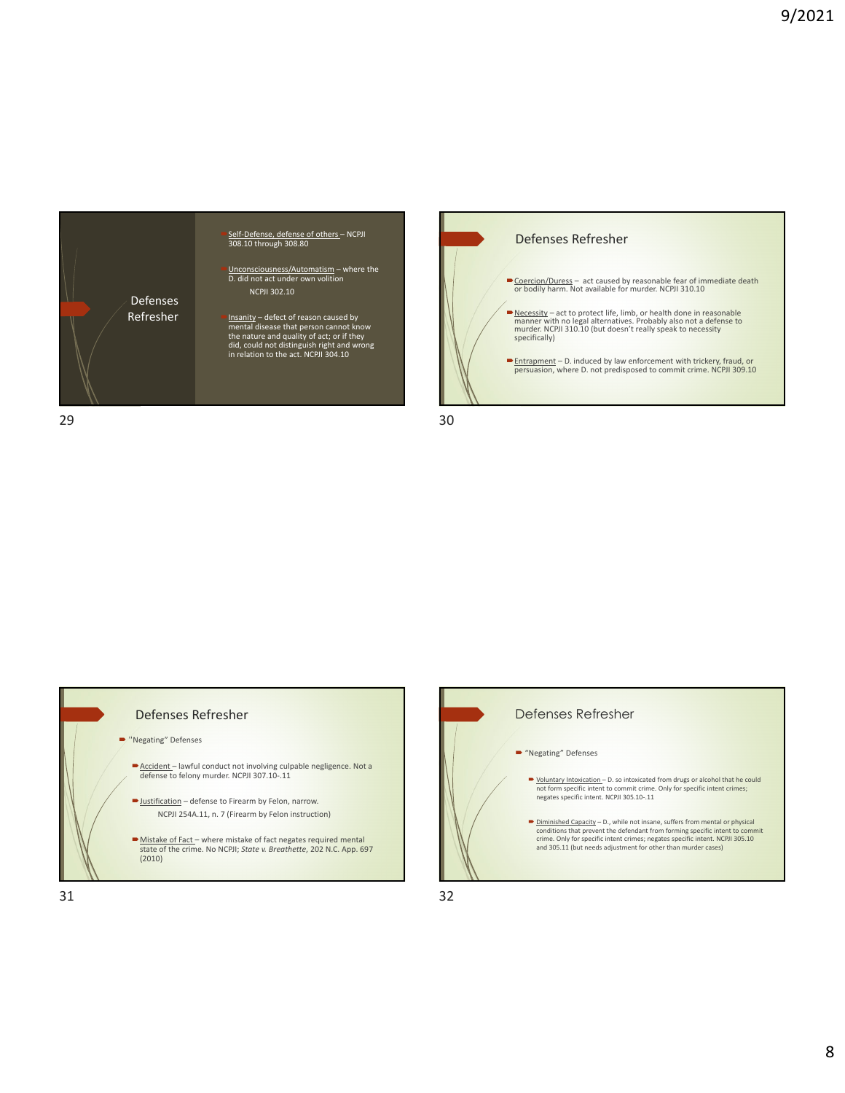



 $29$  30